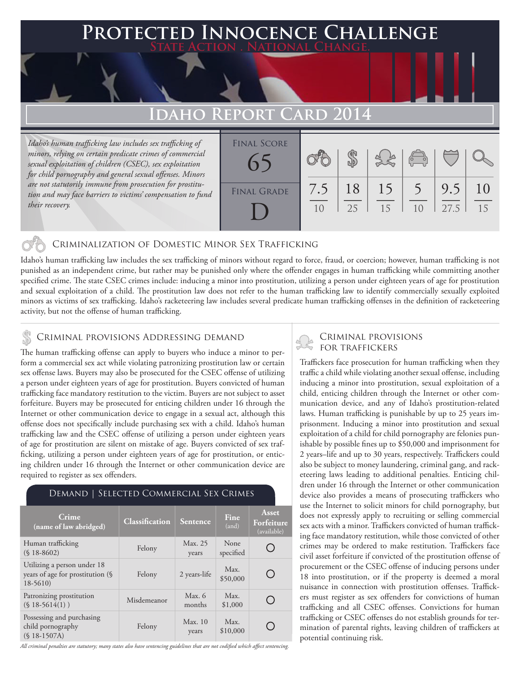### **FED INNOCENCE CHALLENGE State Action . National Change.**

## **Idaho Report Card 2014**

*Idaho's human trafficking law includes sex trafficking of minors, relying on certain predicate crimes of commercial sexual exploitation of children (CSEC), sex exploitation for child pornography and general sexual offenses. Minors are not statutorily immune from prosecution for prostitution and may face barriers to victims' compensation to fund their recovery.*

| <b>FINAL SCORE</b> |           |          |          | $\begin{pmatrix} 0 & 0 \\ 0 & 0 \end{pmatrix}$ |             |          |
|--------------------|-----------|----------|----------|------------------------------------------------|-------------|----------|
| <b>FINAL GRADE</b> | 7.5<br>10 | 18<br>25 | 15<br>15 | 1 <sub>0</sub>                                 | 9.5<br>27.5 | 10<br>15 |

#### Criminalization of Domestic Minor Sex Trafficking

Idaho's human trafficking law includes the sex trafficking of minors without regard to force, fraud, or coercion; however, human trafficking is not punished as an independent crime, but rather may be punished only where the offender engages in human trafficking while committing another specified crime. The state CSEC crimes include: inducing a minor into prostitution, utilizing a person under eighteen years of age for prostitution and sexual exploitation of a child. The prostitution law does not refer to the human trafficking law to identify commercially sexually exploited minors as victims of sex trafficking. Idaho's racketeering law includes several predicate human trafficking offenses in the definition of racketeering activity, but not the offense of human trafficking.

#### CRIMINAL PROVISIONS ADDRESSING DEMAND

The human trafficking offense can apply to buyers who induce a minor to perform a commercial sex act while violating patronizing prostitution law or certain sex offense laws. Buyers may also be prosecuted for the CSEC offense of utilizing a person under eighteen years of age for prostitution. Buyers convicted of human trafficking face mandatory restitution to the victim. Buyers are not subject to asset forfeiture. Buyers may be prosecuted for enticing children under 16 through the Internet or other communication device to engage in a sexual act, although this offense does not specifically include purchasing sex with a child. Idaho's human trafficking law and the CSEC offense of utilizing a person under eighteen years of age for prostitution are silent on mistake of age. Buyers convicted of sex trafficking, utilizing a person under eighteen years of age for prostitution, or enticing children under 16 through the Internet or other communication device are required to register as sex offenders.

#### Demand | Selected Commercial Sex Crimes

| <b>Crime</b><br>(name of law abridged)                                       | <b>Classification</b> | Sentence         | Fine<br>(and)     | Asset<br>Forfeiture<br>(available) |
|------------------------------------------------------------------------------|-----------------------|------------------|-------------------|------------------------------------|
| Human trafficking<br>$(S18-8602)$                                            | Felony                | Max. 25<br>years | None<br>specified |                                    |
| Utilizing a person under 18<br>years of age for prostitution (§<br>$18-5610$ | Felony                | 2 years-life     | Max.<br>\$50,000  | $\qquad \qquad \blacksquare$       |
| Patronizing prostitution<br>$(S18-5614(1))$                                  | Misdemeanor           | Max. 6<br>months | Max.<br>\$1,000   |                                    |
| Possessing and purchasing<br>child pornography<br>$(S$ 18-1507A)             | Felony                | Max.10<br>years  | Max.<br>\$10,000  |                                    |

*All criminal penalties are statutory; many states also have sentencing guidelines that are not codified which affect sentencing.* 

# Criminal provisions

Traffickers face prosecution for human trafficking when they traffic a child while violating another sexual offense, including inducing a minor into prostitution, sexual exploitation of a child, enticing children through the Internet or other communication device, and any of Idaho's prostitution-related laws. Human trafficking is punishable by up to 25 years imprisonment. Inducing a minor into prostitution and sexual exploitation of a child for child pornography are felonies punishable by possible fines up to \$50,000 and imprisonment for 2 years–life and up to 30 years, respectively. Traffickers could also be subject to money laundering, criminal gang, and racketeering laws leading to additional penalties. Enticing children under 16 through the Internet or other communication device also provides a means of prosecuting traffickers who use the Internet to solicit minors for child pornography, but does not expressly apply to recruiting or selling commercial sex acts with a minor. Traffickers convicted of human trafficking face mandatory restitution, while those convicted of other crimes may be ordered to make restitution. Traffickers face civil asset forfeiture if convicted of the prostitution offense of procurement or the CSEC offense of inducing persons under 18 into prostitution, or if the property is deemed a moral nuisance in connection with prostitution offenses. Traffickers must register as sex offenders for convictions of human trafficking and all CSEC offenses. Convictions for human trafficking or CSEC offenses do not establish grounds for termination of parental rights, leaving children of traffickers at potential continuing risk.